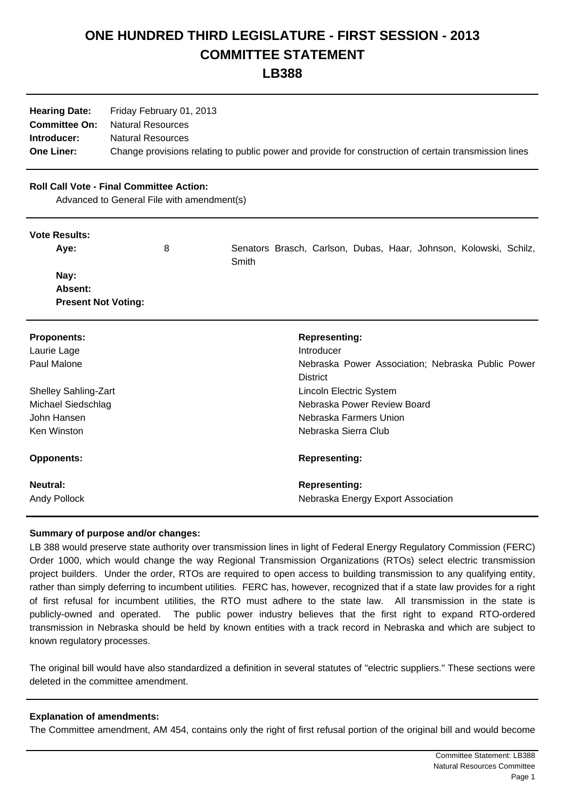# **ONE HUNDRED THIRD LEGISLATURE - FIRST SESSION - 2013 COMMITTEE STATEMENT**

**LB388**

| <b>Hearing Date:</b> | Friday February 01, 2013                                                                              |
|----------------------|-------------------------------------------------------------------------------------------------------|
|                      | <b>Committee On:</b> Natural Resources                                                                |
| Introducer:          | <b>Natural Resources</b>                                                                              |
| <b>One Liner:</b>    | Change provisions relating to public power and provide for construction of certain transmission lines |

## **Roll Call Vote - Final Committee Action:**

Advanced to General File with amendment(s)

#### **Vote Results:**

| Ave:                       | 8 |       |  |  | Senators Brasch, Carlson, Dubas, Haar, Johnson, Kolowski, Schilz, |  |
|----------------------------|---|-------|--|--|-------------------------------------------------------------------|--|
|                            |   | Smith |  |  |                                                                   |  |
| Nay:                       |   |       |  |  |                                                                   |  |
| <b>Absent:</b>             |   |       |  |  |                                                                   |  |
| <b>Present Not Voting:</b> |   |       |  |  |                                                                   |  |

| <b>Proponents:</b><br>Laurie Lage<br>Paul Malone | <b>Representing:</b><br>Introducer<br>Nebraska Power Association; Nebraska Public Power<br><b>District</b> |
|--------------------------------------------------|------------------------------------------------------------------------------------------------------------|
| <b>Shelley Sahling-Zart</b>                      | Lincoln Electric System                                                                                    |
| Michael Siedschlag                               | Nebraska Power Review Board                                                                                |
| John Hansen                                      | Nebraska Farmers Union                                                                                     |
| Ken Winston                                      | Nebraska Sierra Club                                                                                       |
| <b>Opponents:</b>                                | <b>Representing:</b>                                                                                       |
| Neutral:                                         | <b>Representing:</b>                                                                                       |
| <b>Andy Pollock</b>                              | Nebraska Energy Export Association                                                                         |

## **Summary of purpose and/or changes:**

LB 388 would preserve state authority over transmission lines in light of Federal Energy Regulatory Commission (FERC) Order 1000, which would change the way Regional Transmission Organizations (RTOs) select electric transmission project builders. Under the order, RTOs are required to open access to building transmission to any qualifying entity, rather than simply deferring to incumbent utilities. FERC has, however, recognized that if a state law provides for a right of first refusal for incumbent utilities, the RTO must adhere to the state law. All transmission in the state is publicly-owned and operated. The public power industry believes that the first right to expand RTO-ordered transmission in Nebraska should be held by known entities with a track record in Nebraska and which are subject to known regulatory processes.

The original bill would have also standardized a definition in several statutes of "electric suppliers." These sections were deleted in the committee amendment.

## **Explanation of amendments:**

The Committee amendment, AM 454, contains only the right of first refusal portion of the original bill and would become